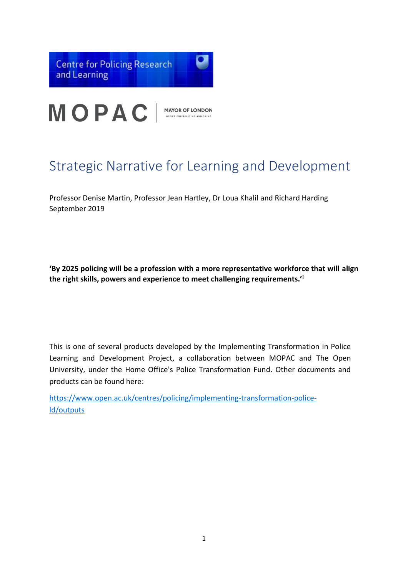

# Strategic Narrative for Learning and Development

Professor Denise Martin, Professor Jean Hartley, Dr Loua Khalil and Richard Harding September 2019

**'By 2025 policing will be a profession with a more representative workforce that will align the right skills, powers and experience to meet challenging requirements.'<sup>i</sup>**

This is one of several products developed by the Implementing Transformation in Police Learning and Development Project, a collaboration between MOPAC and The Open University, under the Home Office's Police Transformation Fund. Other documents and products can be found here:

[https://www.open.ac.uk/centres/policing/implementing-transformation-police](https://www.open.ac.uk/centres/policing/itpld/outputs)[ld/outputs](https://www.open.ac.uk/centres/policing/itpld/outputs)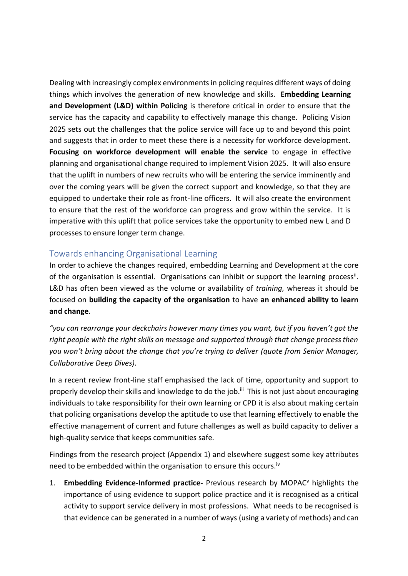Dealing with increasingly complex environments in policing requires different ways of doing things which involves the generation of new knowledge and skills. **Embedding Learning and Development (L&D) within Policing** is therefore critical in order to ensure that the service has the capacity and capability to effectively manage this change. Policing Vision 2025 sets out the challenges that the police service will face up to and beyond this point and suggests that in order to meet these there is a necessity for workforce development. **Focusing on workforce development will enable the service** to engage in effective planning and organisational change required to implement Vision 2025. It will also ensure that the uplift in numbers of new recruits who will be entering the service imminently and over the coming years will be given the correct support and knowledge, so that they are equipped to undertake their role as front-line officers. It will also create the environment to ensure that the rest of the workforce can progress and grow within the service. It is imperative with this uplift that police services take the opportunity to embed new L and D processes to ensure longer term change.

# Towards enhancing Organisational Learning

In order to achieve the changes required, embedding Learning and Development at the core of the organisation is essential. Organisations can inhibit or support the learning process<sup>ii</sup>. L&D has often been viewed as the volume or availability of *training,* whereas it should be focused on **building the capacity of the organisation** to have **an enhanced ability to learn and change**.

*"you can rearrange your deckchairs however many times you want, but if you haven't got the right people with the right skills on message and supported through that change process then you won't bring about the change that you're trying to deliver (quote from Senior Manager, Collaborative Deep Dives).*

In a recent review front-line staff emphasised the lack of time, opportunity and support to properly develop their skills and knowledge to do the job.<sup>iii</sup> This is not just about encouraging individuals to take responsibility for their own learning or CPD it is also about making certain that policing organisations develop the aptitude to use that learning effectively to enable the effective management of current and future challenges as well as build capacity to deliver a high-quality service that keeps communities safe.

Findings from the research project (Appendix 1) and elsewhere suggest some key attributes need to be embedded within the organisation to ensure this occurs.<sup>iv</sup>

1. **Embedding Evidence-Informed practice-** Previous research by MOPAC<sup>v</sup> highlights the importance of using evidence to support police practice and it is recognised as a critical activity to support service delivery in most professions. What needs to be recognised is that evidence can be generated in a number of ways (using a variety of methods) and can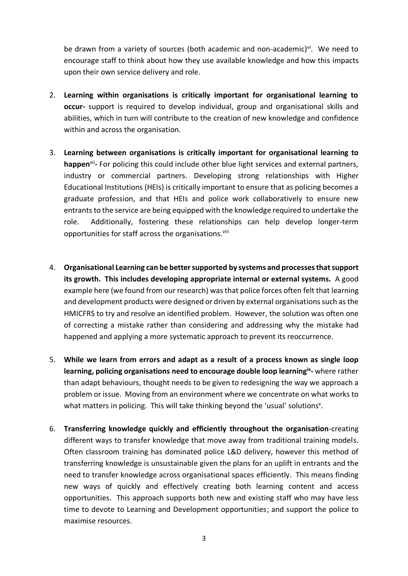be drawn from a variety of sources (both academic and non-academic)<sup>vi</sup>. We need to encourage staff to think about how they use available knowledge and how this impacts upon their own service delivery and role.

- 2. **Learning within organisations is critically important for organisational learning to occur-** support is required to develop individual, group and organisational skills and abilities, which in turn will contribute to the creation of new knowledge and confidence within and across the organisation.
- 3. **Learning between organisations is critically important for organisational learning to**  happen<sup>vii</sup>- For policing this could include other blue light services and external partners, industry or commercial partners. Developing strong relationships with Higher Educational Institutions (HEIs) is critically important to ensure that as policing becomes a graduate profession, and that HEIs and police work collaboratively to ensure new entrants to the service are being equipped with the knowledge required to undertake the role. Additionally, fostering these relationships can help develop longer-term opportunities for staff across the organisations.<sup>viii</sup>
- 4. **Organisational Learning can be better supported by systems and processes that support its growth. This includes developing appropriate internal or external systems.** A good example here (we found from our research) was that police forces often felt that learning and development products were designed or driven by external organisations such as the HMICFRS to try and resolve an identified problem. However, the solution was often one of correcting a mistake rather than considering and addressing why the mistake had happened and applying a more systematic approach to prevent its reoccurrence.
- 5. **While we learn from errors and adapt as a result of a process known as single loop**  learning, policing organisations need to encourage double loop learning<sup>ix</sup>-where rather than adapt behaviours, thought needs to be given to redesigning the way we approach a problem or issue. Moving from an environment where we concentrate on what works to what matters in policing. This will take thinking beyond the 'usual' solutions<sup>x</sup>.
- 6. **Transferring knowledge quickly and efficiently throughout the organisation**-creating different ways to transfer knowledge that move away from traditional training models. Often classroom training has dominated police L&D delivery, however this method of transferring knowledge is unsustainable given the plans for an uplift in entrants and the need to transfer knowledge across organisational spaces efficiently. This means finding new ways of quickly and effectively creating both learning content and access opportunities. This approach supports both new and existing staff who may have less time to devote to Learning and Development opportunities; and support the police to maximise resources.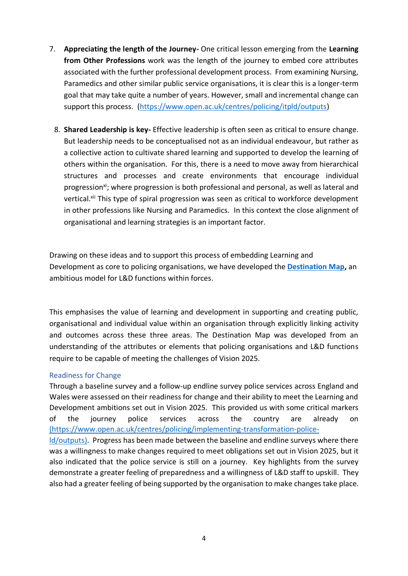- 7. **Appreciating the length of the Journey-** One critical lesson emerging from the **Learning from Other Professions** work was the length of the journey to embed core attributes associated with the further professional development process. From examining Nursing, Paramedics and other similar public service organisations, it is clear this is a longer-term goal that may take quite a number of years. However, small and incremental change can support this process. [\(https://www.open.ac.uk/centres/policing/itpld/outputs\)](https://www.open.ac.uk/centres/policing/itpld/outputs)
	- 8. **Shared Leadership is key-** Effective leadership is often seen as critical to ensure change. But leadership needs to be conceptualised not as an individual endeavour, but rather as a collective action to cultivate shared learning and supported to develop the learning of others within the organisation. For this, there is a need to move away from hierarchical structures and processes and create environments that encourage individual progression<sup>xi</sup>; where progression is both professional and personal, as well as lateral and vertical.<sup>xii</sup> This type of spiral progression was seen as critical to workforce development in other professions like Nursing and Paramedics. In this context the close alignment of organisational and learning strategies is an important factor.

Drawing on these ideas and to support this process of embedding Learning and Development as core to policing organisations, we have developed the **[Destination Map,](https://www.open.ac.uk/centres/policing/sites/www.open.ac.uk.centres.policing/files/files/Tools%2C%20Techniques%20and%20Resources%20for%20Learning%20and%20Development%20in%20Policing%20%20%20Production%20V1_1.pdf)** an ambitious model for L&D functions within forces.

This emphasises the value of learning and development in supporting and creating public, organisational and individual value within an organisation through explicitly linking activity and outcomes across these three areas. The Destination Map was developed from an understanding of the attributes or elements that policing organisations and L&D functions require to be capable of meeting the challenges of Vision 2025.

## Readiness for Change

Through a baseline survey and a follow-up endline survey police services across England and Wales were assessed on their readiness for change and their ability to meet the Learning and Development ambitions set out in Vision 2025. This provided us with some critical markers of the journey police services across the country are already on [\(https://www.open.ac.uk/centres/policing/implementing-transformation-police-](https://www.open.ac.uk/centres/policing/itpld/outputs)

[ld/outputs\).](https://www.open.ac.uk/centres/policing/itpld/outputs) Progress has been made between the baseline and endline surveys where there was a willingness to make changes required to meet obligations set out in Vision 2025, but it also indicated that the police service is still on a journey. Key highlights from the survey demonstrate a greater feeling of preparedness and a willingness of L&D staff to upskill. They also had a greater feeling of being supported by the organisation to make changes take place.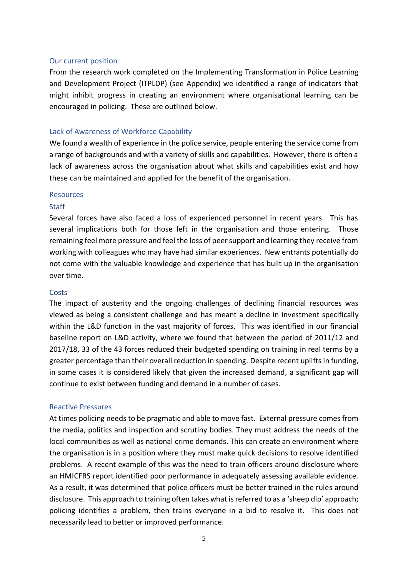#### Our current position

From the research work completed on the Implementing Transformation in Police Learning and Development Project (ITPLDP) (see Appendix) we identified a range of indicators that might inhibit progress in creating an environment where organisational learning can be encouraged in policing. These are outlined below.

#### Lack of Awareness of Workforce Capability

We found a wealth of experience in the police service, people entering the service come from a range of backgrounds and with a variety of skills and capabilities. However, there is often a lack of awareness across the organisation about what skills and capabilities exist and how these can be maintained and applied for the benefit of the organisation.

#### Resources

#### **Staff**

Several forces have also faced a loss of experienced personnel in recent years. This has several implications both for those left in the organisation and those entering. Those remaining feel more pressure and feel the loss of peer support and learning they receive from working with colleagues who may have had similar experiences. New entrants potentially do not come with the valuable knowledge and experience that has built up in the organisation over time.

#### **Costs**

The impact of austerity and the ongoing challenges of declining financial resources was viewed as being a consistent challenge and has meant a decline in investment specifically within the L&D function in the vast majority of forces. This was identified in our financial baseline report on L&D activity, where we found that between the period of 2011/12 and 2017/18, 33 of the 43 forces reduced their budgeted spending on training in real terms by a greater percentage than their overall reduction in spending. Despite recent uplifts in funding, in some cases it is considered likely that given the increased demand, a significant gap will continue to exist between funding and demand in a number of cases.

#### Reactive Pressures

At times policing needs to be pragmatic and able to move fast. External pressure comes from the media, politics and inspection and scrutiny bodies. They must address the needs of the local communities as well as national crime demands. This can create an environment where the organisation is in a position where they must make quick decisions to resolve identified problems. A recent example of this was the need to train officers around disclosure where an HMICFRS report identified poor performance in adequately assessing available evidence. As a result, it was determined that police officers must be better trained in the rules around disclosure. This approach to training often takes what is referred to as a 'sheep dip' approach; policing identifies a problem, then trains everyone in a bid to resolve it. This does not necessarily lead to better or improved performance.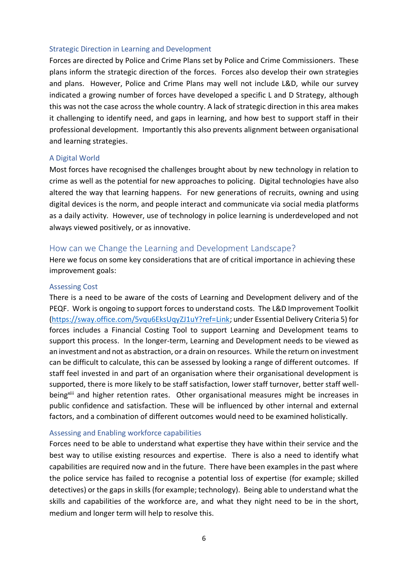#### Strategic Direction in Learning and Development

Forces are directed by Police and Crime Plans set by Police and Crime Commissioners. These plans inform the strategic direction of the forces. Forces also develop their own strategies and plans. However, Police and Crime Plans may well not include L&D, while our survey indicated a growing number of forces have developed a specific L and D Strategy, although this was not the case across the whole country. A lack of strategic direction in this area makes it challenging to identify need, and gaps in learning, and how best to support staff in their professional development. Importantly this also prevents alignment between organisational and learning strategies.

## A Digital World

Most forces have recognised the challenges brought about by new technology in relation to crime as well as the potential for new approaches to policing. Digital technologies have also altered the way that learning happens. For new generations of recruits, owning and using digital devices is the norm, and people interact and communicate via social media platforms as a daily activity. However, use of technology in police learning is underdeveloped and not always viewed positively, or as innovative.

## How can we Change the Learning and Development Landscape?

Here we focus on some key considerations that are of critical importance in achieving these improvement goals:

## Assessing Cost

There is a need to be aware of the costs of Learning and Development delivery and of the PEQF. Work is ongoing to support forces to understand costs. The L&D Improvement Toolkit [\(https://sway.office.com/5vqu6EksUqyZJ1uY?ref=Link;](https://sway.office.com/5vqu6EksUqyZJ1uY?ref=Link) under Essential Delivery Criteria 5) for forces includes a Financial Costing Tool to support Learning and Development teams to support this process. In the longer-term, Learning and Development needs to be viewed as an investment and not as abstraction, or a drain on resources. While the return on investment can be difficult to calculate, this can be assessed by looking a range of different outcomes. If staff feel invested in and part of an organisation where their organisational development is supported, there is more likely to be staff satisfaction, lower staff turnover, better staff wellbeing<sup>xiii</sup> and higher retention rates. Other organisational measures might be increases in public confidence and satisfaction. These will be influenced by other internal and external factors, and a combination of different outcomes would need to be examined holistically.

#### Assessing and Enabling workforce capabilities

Forces need to be able to understand what expertise they have within their service and the best way to utilise existing resources and expertise. There is also a need to identify what capabilities are required now and in the future. There have been examples in the past where the police service has failed to recognise a potential loss of expertise (for example; skilled detectives) or the gaps in skills (for example; technology). Being able to understand what the skills and capabilities of the workforce are, and what they night need to be in the short, medium and longer term will help to resolve this.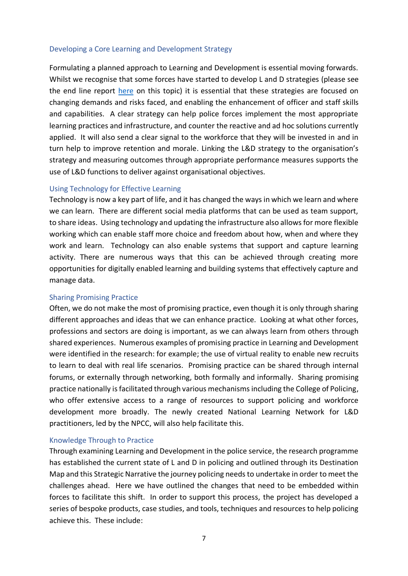## Developing a Core Learning and Development Strategy

Formulating a planned approach to Learning and Development is essential moving forwards. Whilst we recognise that some forces have started to develop L and D strategies (please see the end line report [here](https://www.open.ac.uk/centres/policing/sites/www.open.ac.uk.centres.policing/files/files/10133%20Police%20Learning%20Survey%20IFF%20Endline%20FINAL%20V11.pdf) on this topic) it is essential that these strategies are focused on changing demands and risks faced, and enabling the enhancement of officer and staff skills and capabilities. A clear strategy can help police forces implement the most appropriate learning practices and infrastructure, and counter the reactive and ad hoc solutions currently applied. It will also send a clear signal to the workforce that they will be invested in and in turn help to improve retention and morale. Linking the L&D strategy to the organisation's strategy and measuring outcomes through appropriate performance measures supports the use of L&D functions to deliver against organisational objectives.

## Using Technology for Effective Learning

Technology is now a key part of life, and it has changed the ways in which we learn and where we can learn. There are different social media platforms that can be used as team support, to share ideas. Using technology and updating the infrastructure also allows for more flexible working which can enable staff more choice and freedom about how, when and where they work and learn. Technology can also enable systems that support and capture learning activity. There are numerous ways that this can be achieved through creating more opportunities for digitally enabled learning and building systems that effectively capture and manage data.

#### Sharing Promising Practice

Often, we do not make the most of promising practice, even though it is only through sharing different approaches and ideas that we can enhance practice. Looking at what other forces, professions and sectors are doing is important, as we can always learn from others through shared experiences. Numerous examples of promising practice in Learning and Development were identified in the research: for example; the use of virtual reality to enable new recruits to learn to deal with real life scenarios. Promising practice can be shared through internal forums, or externally through networking, both formally and informally. Sharing promising practice nationally is facilitated through various mechanisms including the College of Policing, who offer extensive access to a range of resources to support policing and workforce development more broadly. The newly created National Learning Network for L&D practitioners, led by the NPCC, will also help facilitate this.

#### Knowledge Through to Practice

Through examining Learning and Development in the police service, the research programme has established the current state of L and D in policing and outlined through its Destination Map and this Strategic Narrative the journey policing needs to undertake in order to meet the challenges ahead. Here we have outlined the changes that need to be embedded within forces to facilitate this shift. In order to support this process, the project has developed a series of bespoke products, case studies, and tools, techniques and resources to help policing achieve this. These include: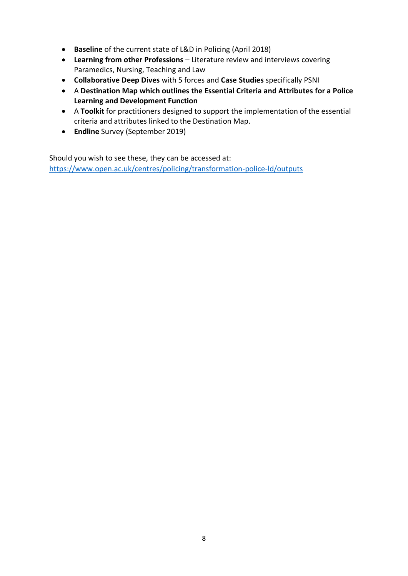- **Baseline** of the current state of L&D in Policing (April 2018)
- **Learning from other Professions** Literature review and interviews covering Paramedics, Nursing, Teaching and Law
- **Collaborative Deep Dives** with 5 forces and **Case Studies** specifically PSNI
- A **Destination Map which outlines the Essential Criteria and Attributes for a Police Learning and Development Function**
- A **Toolkit** for practitioners designed to support the implementation of the essential criteria and attributes linked to the Destination Map.
- **Endline** Survey (September 2019)

Should you wish to see these, they can be accessed at: [https://www.open.ac.uk/centres/policing/transformation-police-ld/outputs](https://www.open.ac.uk/centres/policing/itpld/outputs)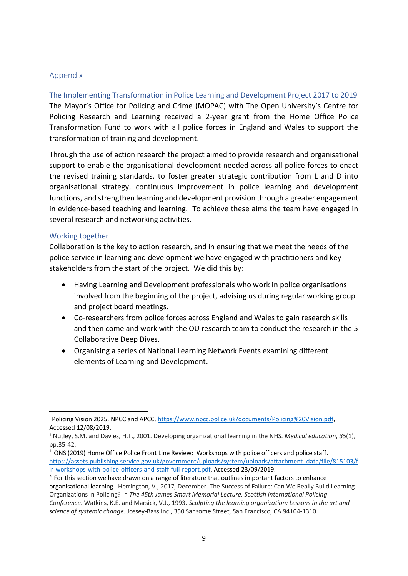# Appendix

The Implementing Transformation in Police Learning and Development Project 2017 to 2019 The Mayor's Office for Policing and Crime (MOPAC) with The Open University's Centre for Policing Research and Learning received a 2-year grant from the Home Office Police Transformation Fund to work with all police forces in England and Wales to support the transformation of training and development.

Through the use of action research the project aimed to provide research and organisational support to enable the organisational development needed across all police forces to enact the revised training standards, to foster greater strategic contribution from L and D into organisational strategy, continuous improvement in police learning and development functions, and strengthen learning and development provision through a greater engagement in evidence-based teaching and learning. To achieve these aims the team have engaged in several research and networking activities.

## Working together

Collaboration is the key to action research, and in ensuring that we meet the needs of the police service in learning and development we have engaged with practitioners and key stakeholders from the start of the project. We did this by:

- Having Learning and Development professionals who work in police organisations involved from the beginning of the project, advising us during regular working group and project board meetings.
- Co-researchers from police forces across England and Wales to gain research skills and then come and work with the OU research team to conduct the research in the 5 Collaborative Deep Dives.
- Organising a series of National Learning Network Events examining different elements of Learning and Development.

<sup>i</sup> Policing Vision 2025, NPCC and APCC, [https://www.npcc.police.uk/documents/Policing%20Vision.pdf,](https://www.npcc.police.uk/documents/Policing%20Vision.pdf) Accessed 12/08/2019.

ii Nutley, S.M. and Davies, H.T., 2001. Developing organizational learning in the NHS. *Medical education*, *35*(1), pp.35-42.

iii ONS (2019) Home Office Police Front Line Review: Workshops with police officers and police staff. [https://assets.publishing.service.gov.uk/government/uploads/system/uploads/attachment\\_data/file/815103/f](https://assets.publishing.service.gov.uk/government/uploads/system/uploads/attachment_data/file/815103/flr-workshops-with-police-officers-and-staff-full-report.pdf) [lr-workshops-with-police-officers-and-staff-full-report.pdf,](https://assets.publishing.service.gov.uk/government/uploads/system/uploads/attachment_data/file/815103/flr-workshops-with-police-officers-and-staff-full-report.pdf) Accessed 23/09/2019.

iv For this section we have drawn on a range of literature that outlines important factors to enhance organisational learning. Herrington, V., 2017, December. The Success of Failure: Can We Really Build Learning Organizations in Policing? In *The 45th James Smart Memorial Lecture, Scottish International Policing Conference*. Watkins, K.E. and Marsick, V.J., 1993. *Sculpting the learning organization: Lessons in the art and science of systemic change*. Jossey-Bass Inc., 350 Sansome Street, San Francisco, CA 94104-1310.